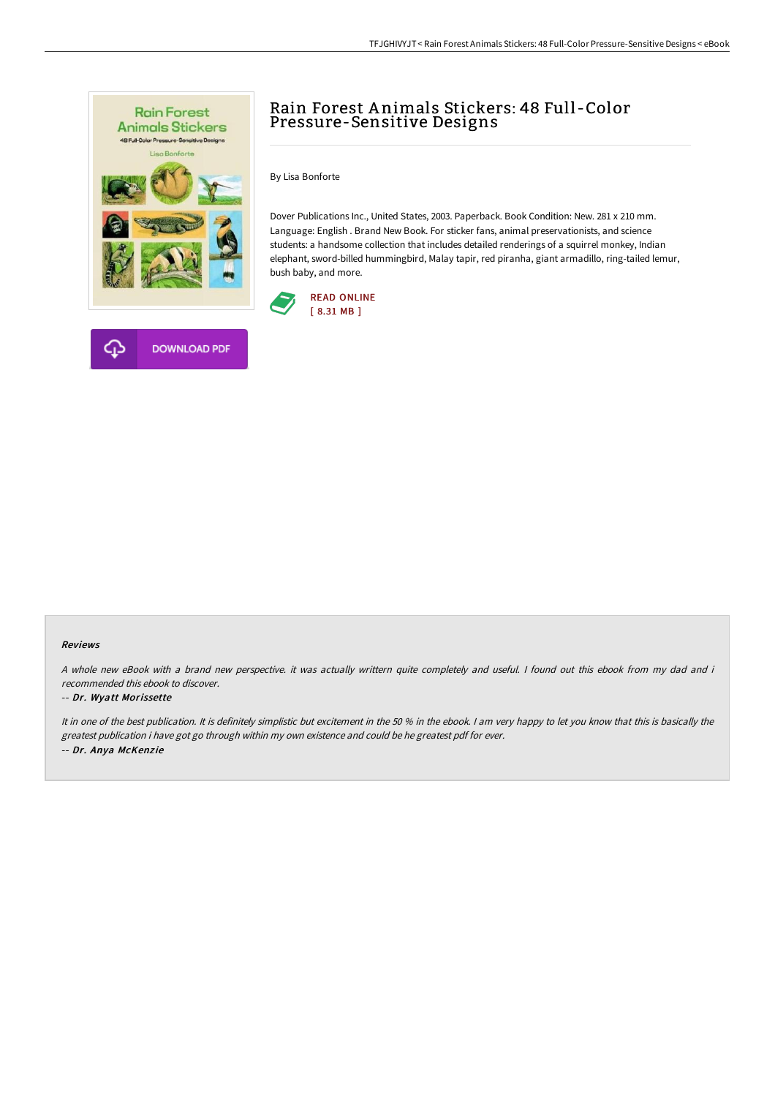



# Rain Forest A nimals Stickers: 48 Full -Color Pressure-Sensitive Designs

By Lisa Bonforte

Dover Publications Inc., United States, 2003. Paperback. Book Condition: New. 281 x 210 mm. Language: English . Brand New Book. For sticker fans, animal preservationists, and science students: a handsome collection that includes detailed renderings of a squirrel monkey, Indian elephant, sword-billed hummingbird, Malay tapir, red piranha, giant armadillo, ring-tailed lemur, bush baby, and more.



### Reviews

A whole new eBook with <sup>a</sup> brand new perspective. it was actually writtern quite completely and useful. I found out this ebook from my dad and i recommended this ebook to discover.

### -- Dr. Wyatt Morissette

It in one of the best publication. It is definitely simplistic but excitement in the 50 % in the ebook. I am very happy to let you know that this is basically the greatest publication i have got go through within my own existence and could be he greatest pdf for ever. -- Dr. Anya McKenzie